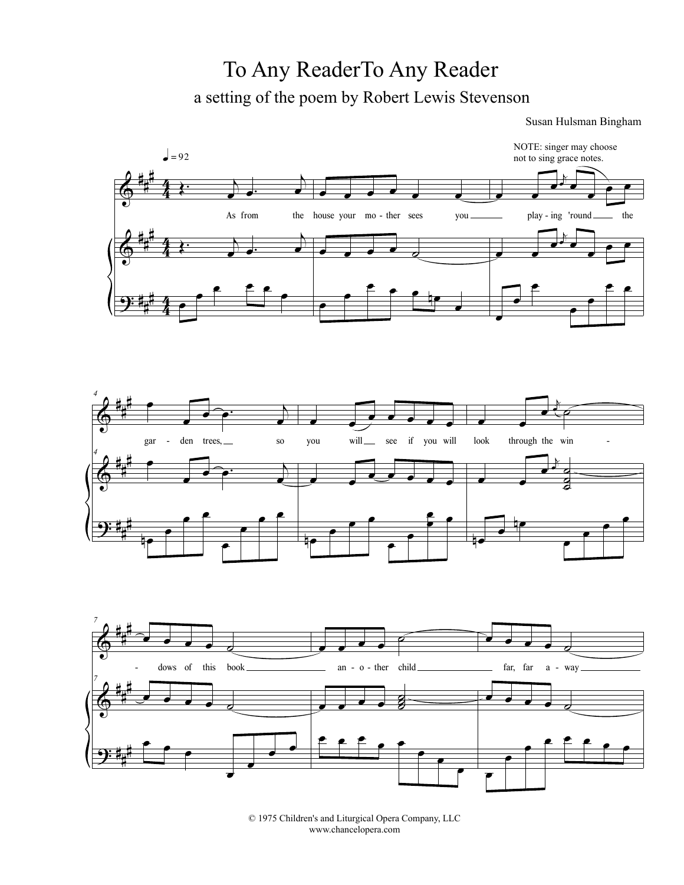## To Any ReaderTo Any Reader a setting of the poem by Robert Lewis Stevenson

Susan Hulsman Bingham



© 1975 Children's and Liturgical Opera Company, LLC www.chancelopera.com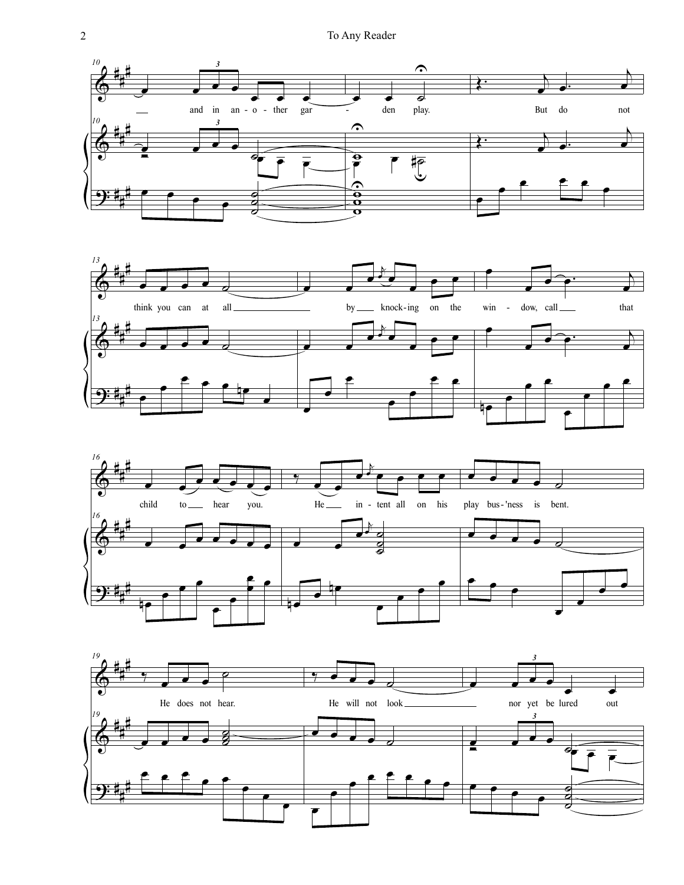